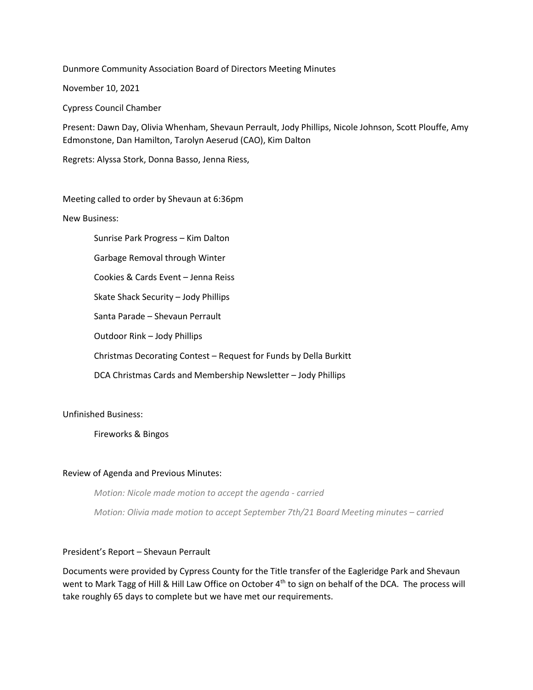Dunmore Community Association Board of Directors Meeting Minutes

November 10, 2021

Cypress Council Chamber

Present: Dawn Day, Olivia Whenham, Shevaun Perrault, Jody Phillips, Nicole Johnson, Scott Plouffe, Amy Edmonstone, Dan Hamilton, Tarolyn Aeserud (CAO), Kim Dalton

Regrets: Alyssa Stork, Donna Basso, Jenna Riess,

Meeting called to order by Shevaun at 6:36pm

New Business:

Sunrise Park Progress – Kim Dalton

Garbage Removal through Winter

Cookies & Cards Event – Jenna Reiss

Skate Shack Security – Jody Phillips

Santa Parade – Shevaun Perrault

Outdoor Rink – Jody Phillips

Christmas Decorating Contest – Request for Funds by Della Burkitt

DCA Christmas Cards and Membership Newsletter – Jody Phillips

Unfinished Business:

Fireworks & Bingos

## Review of Agenda and Previous Minutes:

*Motion: Nicole made motion to accept the agenda - carried*

*Motion: Olivia made motion to accept September 7th/21 Board Meeting minutes – carried*

## President's Report – Shevaun Perrault

Documents were provided by Cypress County for the Title transfer of the Eagleridge Park and Shevaun went to Mark Tagg of Hill & Hill Law Office on October 4<sup>th</sup> to sign on behalf of the DCA. The process will take roughly 65 days to complete but we have met our requirements.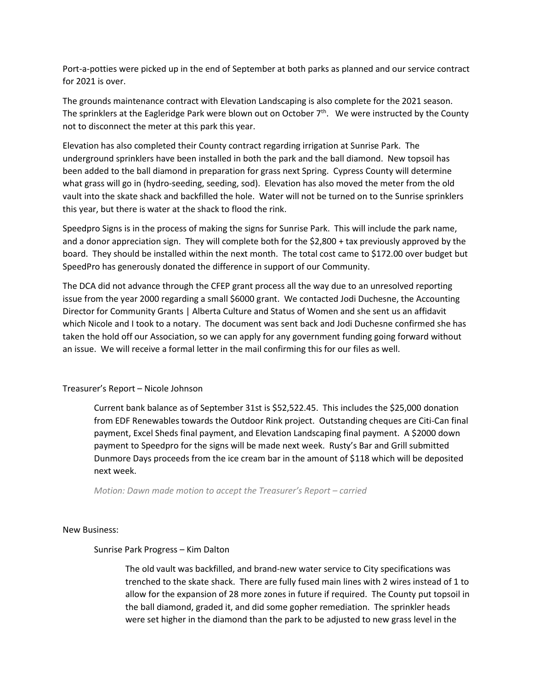Port-a-potties were picked up in the end of September at both parks as planned and our service contract for 2021 is over.

The grounds maintenance contract with Elevation Landscaping is also complete for the 2021 season. The sprinklers at the Eagleridge Park were blown out on October  $7<sup>th</sup>$ . We were instructed by the County not to disconnect the meter at this park this year.

Elevation has also completed their County contract regarding irrigation at Sunrise Park. The underground sprinklers have been installed in both the park and the ball diamond. New topsoil has been added to the ball diamond in preparation for grass next Spring. Cypress County will determine what grass will go in (hydro-seeding, seeding, sod). Elevation has also moved the meter from the old vault into the skate shack and backfilled the hole. Water will not be turned on to the Sunrise sprinklers this year, but there is water at the shack to flood the rink.

Speedpro Signs is in the process of making the signs for Sunrise Park. This will include the park name, and a donor appreciation sign. They will complete both for the \$2,800 + tax previously approved by the board. They should be installed within the next month. The total cost came to \$172.00 over budget but SpeedPro has generously donated the difference in support of our Community.

The DCA did not advance through the CFEP grant process all the way due to an unresolved reporting issue from the year 2000 regarding a small \$6000 grant. We contacted Jodi Duchesne, the Accounting Director for Community Grants | Alberta Culture and Status of Women and she sent us an affidavit which Nicole and I took to a notary. The document was sent back and Jodi Duchesne confirmed she has taken the hold off our Association, so we can apply for any government funding going forward without an issue. We will receive a formal letter in the mail confirming this for our files as well.

Treasurer's Report – Nicole Johnson

Current bank balance as of September 31st is \$52,522.45. This includes the \$25,000 donation from EDF Renewables towards the Outdoor Rink project. Outstanding cheques are Citi-Can final payment, Excel Sheds final payment, and Elevation Landscaping final payment. A \$2000 down payment to Speedpro for the signs will be made next week. Rusty's Bar and Grill submitted Dunmore Days proceeds from the ice cream bar in the amount of \$118 which will be deposited next week.

*Motion: Dawn made motion to accept the Treasurer's Report – carried*

New Business:

Sunrise Park Progress – Kim Dalton

The old vault was backfilled, and brand-new water service to City specifications was trenched to the skate shack. There are fully fused main lines with 2 wires instead of 1 to allow for the expansion of 28 more zones in future if required. The County put topsoil in the ball diamond, graded it, and did some gopher remediation. The sprinkler heads were set higher in the diamond than the park to be adjusted to new grass level in the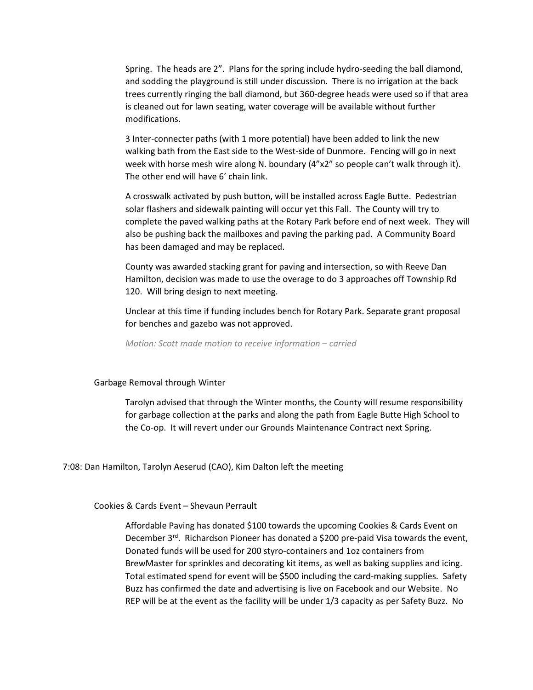Spring. The heads are 2". Plans for the spring include hydro-seeding the ball diamond, and sodding the playground is still under discussion. There is no irrigation at the back trees currently ringing the ball diamond, but 360-degree heads were used so if that area is cleaned out for lawn seating, water coverage will be available without further modifications.

3 Inter-connecter paths (with 1 more potential) have been added to link the new walking bath from the East side to the West-side of Dunmore. Fencing will go in next week with horse mesh wire along N. boundary (4"x2" so people can't walk through it). The other end will have 6' chain link.

A crosswalk activated by push button, will be installed across Eagle Butte. Pedestrian solar flashers and sidewalk painting will occur yet this Fall. The County will try to complete the paved walking paths at the Rotary Park before end of next week. They will also be pushing back the mailboxes and paving the parking pad. A Community Board has been damaged and may be replaced.

County was awarded stacking grant for paving and intersection, so with Reeve Dan Hamilton, decision was made to use the overage to do 3 approaches off Township Rd 120. Will bring design to next meeting.

Unclear at this time if funding includes bench for Rotary Park. Separate grant proposal for benches and gazebo was not approved.

*Motion: Scott made motion to receive information – carried* 

### Garbage Removal through Winter

Tarolyn advised that through the Winter months, the County will resume responsibility for garbage collection at the parks and along the path from Eagle Butte High School to the Co-op. It will revert under our Grounds Maintenance Contract next Spring.

7:08: Dan Hamilton, Tarolyn Aeserud (CAO), Kim Dalton left the meeting

Cookies & Cards Event – Shevaun Perrault

Affordable Paving has donated \$100 towards the upcoming Cookies & Cards Event on December  $3^{rd}$ . Richardson Pioneer has donated a \$200 pre-paid Visa towards the event, Donated funds will be used for 200 styro-containers and 1oz containers from BrewMaster for sprinkles and decorating kit items, as well as baking supplies and icing. Total estimated spend for event will be \$500 including the card-making supplies. Safety Buzz has confirmed the date and advertising is live on Facebook and our Website. No REP will be at the event as the facility will be under 1/3 capacity as per Safety Buzz. No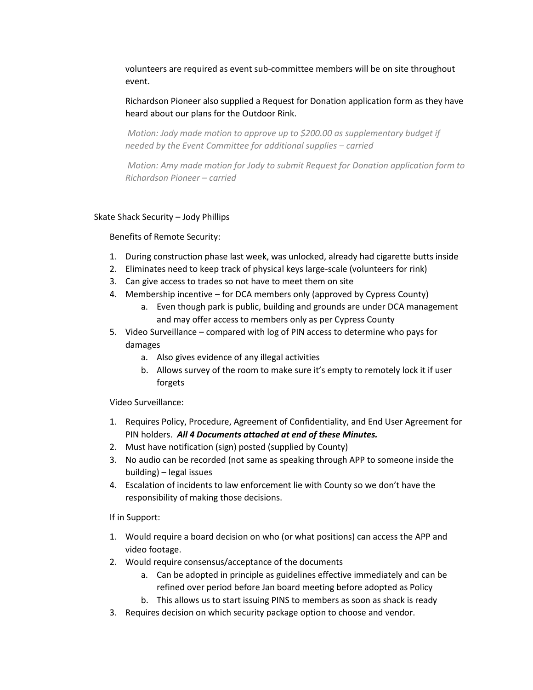volunteers are required as event sub-committee members will be on site throughout event.

Richardson Pioneer also supplied a Request for Donation application form as they have heard about our plans for the Outdoor Rink.

*Motion: Jody made motion to approve up to \$200.00 as supplementary budget if needed by the Event Committee for additional supplies – carried*

*Motion: Amy made motion for Jody to submit Request for Donation application form to Richardson Pioneer – carried*

## Skate Shack Security – Jody Phillips

Benefits of Remote Security:

- 1. During construction phase last week, was unlocked, already had cigarette butts inside
- 2. Eliminates need to keep track of physical keys large-scale (volunteers for rink)
- 3. Can give access to trades so not have to meet them on site
- 4. Membership incentive for DCA members only (approved by Cypress County)
	- a. Even though park is public, building and grounds are under DCA management and may offer access to members only as per Cypress County
- 5. Video Surveillance compared with log of PIN access to determine who pays for damages
	- a. Also gives evidence of any illegal activities
	- b. Allows survey of the room to make sure it's empty to remotely lock it if user forgets

Video Surveillance:

- 1. Requires Policy, Procedure, Agreement of Confidentiality, and End User Agreement for PIN holders. *All 4 Documents attached at end of these Minutes.*
- 2. Must have notification (sign) posted (supplied by County)
- 3. No audio can be recorded (not same as speaking through APP to someone inside the building) – legal issues
- 4. Escalation of incidents to law enforcement lie with County so we don't have the responsibility of making those decisions.

If in Support:

- 1. Would require a board decision on who (or what positions) can access the APP and video footage.
- 2. Would require consensus/acceptance of the documents
	- a. Can be adopted in principle as guidelines effective immediately and can be refined over period before Jan board meeting before adopted as Policy
	- b. This allows us to start issuing PINS to members as soon as shack is ready
- 3. Requires decision on which security package option to choose and vendor.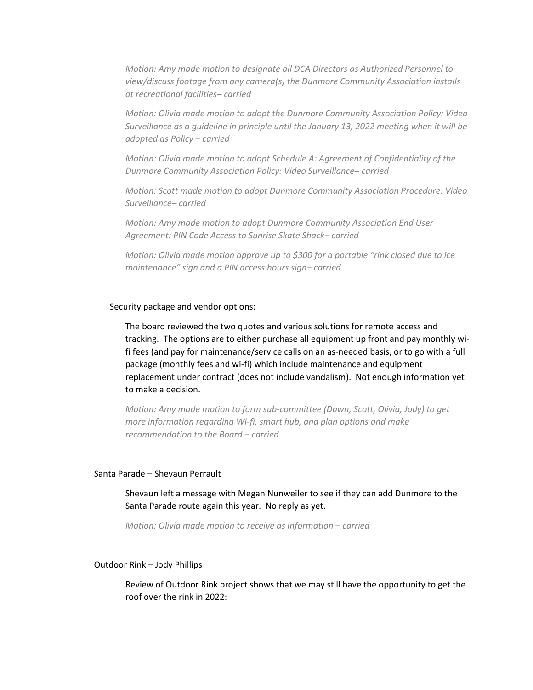*Motion: Amy made motion to designate all DCA Directors as Authorized Personnel to view/discuss footage from any camera(s) the Dunmore Community Association installs at recreational facilities– carried*

*Motion: Olivia made motion to adopt the Dunmore Community Association Policy: Video Surveillance as a guideline in principle until the January 13, 2022 meeting when it will be adopted as Policy – carried*

*Motion: Olivia made motion to adopt Schedule A: Agreement of Confidentiality of the Dunmore Community Association Policy: Video Surveillance– carried*

*Motion: Scott made motion to adopt Dunmore Community Association Procedure: Video Surveillance– carried*

*Motion: Amy made motion to adopt Dunmore Community Association End User Agreement: PIN Code Access to Sunrise Skate Shack– carried*

*Motion: Olivia made motion approve up to \$300 for a portable "rink closed due to ice maintenance" sign and a PIN access hours sign– carried*

## Security package and vendor options:

The board reviewed the two quotes and various solutions for remote access and tracking. The options are to either purchase all equipment up front and pay monthly wifi fees (and pay for maintenance/service calls on an as-needed basis, or to go with a full package (monthly fees and wi-fi) which include maintenance and equipment replacement under contract (does not include vandalism). Not enough information yet to make a decision.

*Motion: Amy made motion to form sub-committee (Dawn, Scott, Olivia, Jody) to get more information regarding Wi-fi, smart hub, and plan options and make recommendation to the Board – carried*

## Santa Parade – Shevaun Perrault

Shevaun left a message with Megan Nunweiler to see if they can add Dunmore to the Santa Parade route again this year. No reply as yet.

*Motion: Olivia made motion to receive as information – carried*

### Outdoor Rink – Jody Phillips

Review of Outdoor Rink project shows that we may still have the opportunity to get the roof over the rink in 2022: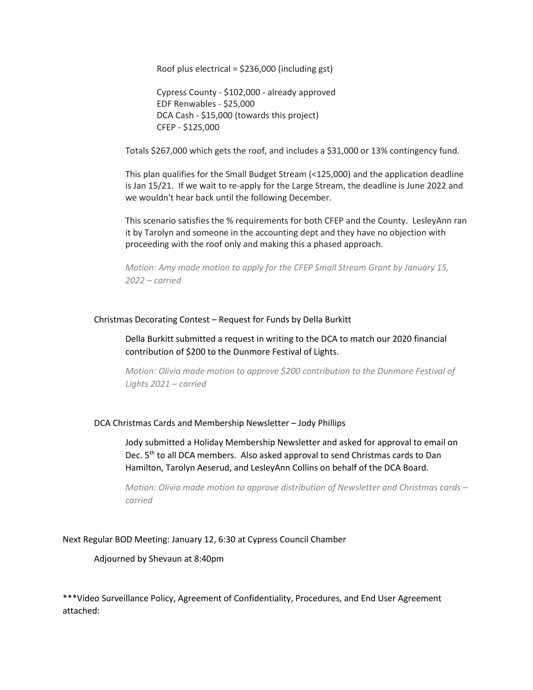Roof plus electrical = \$236,000 (including gst)

Cypress County - \$102,000 - already approved EDF Renwables - \$25,000 DCA Cash - \$15,000 (towards this project) CFEP - \$125,000

Totals \$267,000 which gets the roof, and includes a \$31,000 or 13% contingency fund.

This plan qualifies for the Small Budget Stream (<125,000) and the application deadline is Jan 15/21. If we wait to re-apply for the Large Stream, the deadline is June 2022 and we wouldn't hear back until the following December.

This scenario satisfies the % requirements for both CFEP and the County. LesleyAnn ran it by Tarolyn and someone in the accounting dept and they have no objection with proceeding with the roof only and making this a phased approach.

*Motion: Amy made motion to apply for the CFEP Small Stream Grant by January 15, 2022 – carried*

## Christmas Decorating Contest – Request for Funds by Della Burkitt

Della Burkitt submitted a request in writing to the DCA to match our 2020 financial contribution of \$200 to the Dunmore Festival of Lights.

*Motion: Olivia made motion to approve \$200 contribution to the Dunmore Festival of Lights 2021 – carried*

## DCA Christmas Cards and Membership Newsletter – Jody Phillips

Jody submitted a Holiday Membership Newsletter and asked for approval to email on Dec. 5<sup>th</sup> to all DCA members. Also asked approval to send Christmas cards to Dan Hamilton, Tarolyn Aeserud, and LesleyAnn Collins on behalf of the DCA Board.

*Motion: Olivia made motion to approve distribution of Newsletter and Christmas cards – carried*

## Next Regular BOD Meeting: January 12, 6:30 at Cypress Council Chamber

## Adjourned by Shevaun at 8:40pm

\*\*\*Video Surveillance Policy, Agreement of Confidentiality, Procedures, and End User Agreement attached: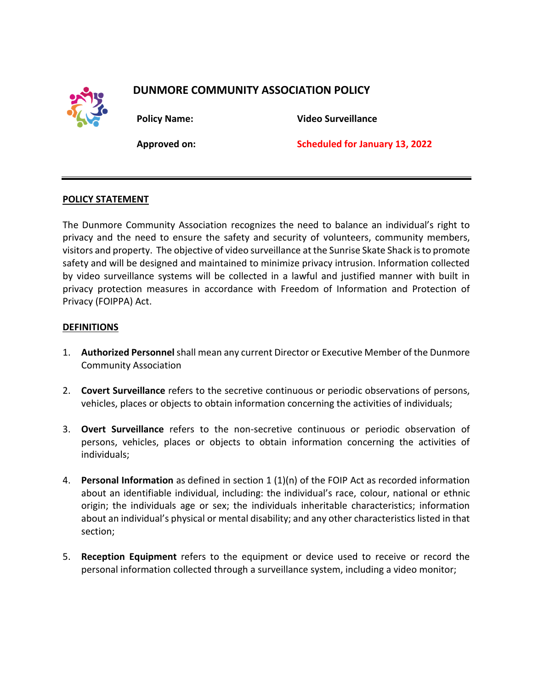

# **DUNMORE COMMUNITY ASSOCIATION POLICY**

**Policy Name: Video Surveillance**

**Approved on: Scheduled for January 13, 2022**

# **POLICY STATEMENT**

The Dunmore Community Association recognizes the need to balance an individual's right to privacy and the need to ensure the safety and security of volunteers, community members, visitors and property. The objective of video surveillance at the Sunrise Skate Shack is to promote safety and will be designed and maintained to minimize privacy intrusion. Information collected by video surveillance systems will be collected in a lawful and justified manner with built in privacy protection measures in accordance with Freedom of Information and Protection of Privacy (FOIPPA) Act.

# **DEFINITIONS**

- 1. **Authorized Personnel**shall mean any current Director or Executive Member of the Dunmore Community Association
- 2. **Covert Surveillance** refers to the secretive continuous or periodic observations of persons, vehicles, places or objects to obtain information concerning the activities of individuals;
- 3. **Overt Surveillance** refers to the non-secretive continuous or periodic observation of persons, vehicles, places or objects to obtain information concerning the activities of individuals;
- 4. **Personal Information** as defined in section 1 (1)(n) of the FOIP Act as recorded information about an identifiable individual, including: the individual's race, colour, national or ethnic origin; the individuals age or sex; the individuals inheritable characteristics; information about an individual's physical or mental disability; and any other characteristics listed in that section;
- 5. **Reception Equipment** refers to the equipment or device used to receive or record the personal information collected through a surveillance system, including a video monitor;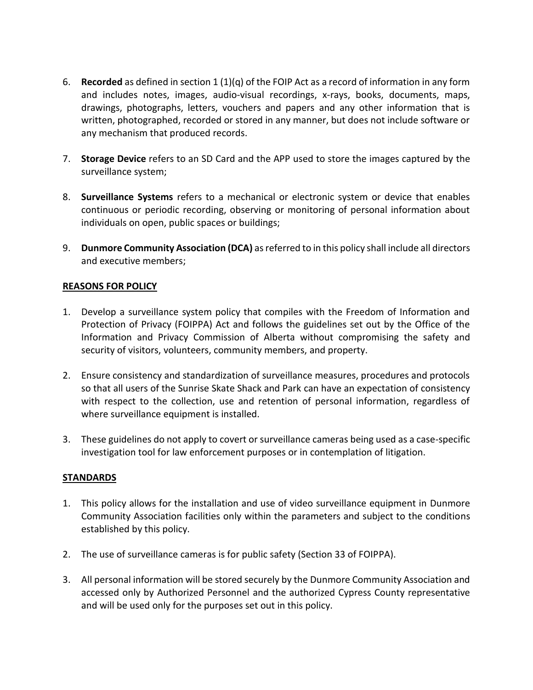- 6. **Recorded** as defined in section 1 (1)(q) of the FOIP Act as a record of information in any form and includes notes, images, audio-visual recordings, x-rays, books, documents, maps, drawings, photographs, letters, vouchers and papers and any other information that is written, photographed, recorded or stored in any manner, but does not include software or any mechanism that produced records.
- 7. **Storage Device** refers to an SD Card and the APP used to store the images captured by the surveillance system;
- 8. **Surveillance Systems** refers to a mechanical or electronic system or device that enables continuous or periodic recording, observing or monitoring of personal information about individuals on open, public spaces or buildings;
- 9. **Dunmore Community Association (DCA)** as referred to in this policy shall include all directors and executive members;

# **REASONS FOR POLICY**

- 1. Develop a surveillance system policy that compiles with the Freedom of Information and Protection of Privacy (FOIPPA) Act and follows the guidelines set out by the Office of the Information and Privacy Commission of Alberta without compromising the safety and security of visitors, volunteers, community members, and property.
- 2. Ensure consistency and standardization of surveillance measures, procedures and protocols so that all users of the Sunrise Skate Shack and Park can have an expectation of consistency with respect to the collection, use and retention of personal information, regardless of where surveillance equipment is installed.
- 3. These guidelines do not apply to covert or surveillance cameras being used as a case-specific investigation tool for law enforcement purposes or in contemplation of litigation.

## **STANDARDS**

- 1. This policy allows for the installation and use of video surveillance equipment in Dunmore Community Association facilities only within the parameters and subject to the conditions established by this policy.
- 2. The use of surveillance cameras is for public safety (Section 33 of FOIPPA).
- 3. All personal information will be stored securely by the Dunmore Community Association and accessed only by Authorized Personnel and the authorized Cypress County representative and will be used only for the purposes set out in this policy.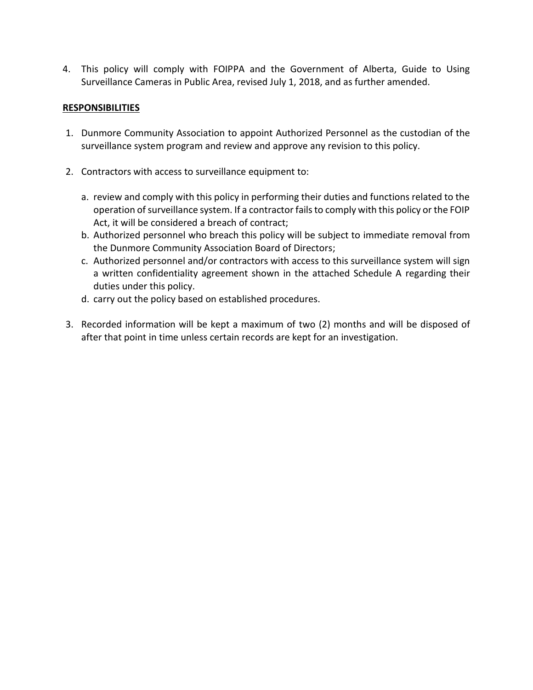4. This policy will comply with FOIPPA and the Government of Alberta, Guide to Using Surveillance Cameras in Public Area, revised July 1, 2018, and as further amended.

# **RESPONSIBILITIES**

- 1. Dunmore Community Association to appoint Authorized Personnel as the custodian of the surveillance system program and review and approve any revision to this policy.
- 2. Contractors with access to surveillance equipment to:
	- a. review and comply with this policy in performing their duties and functions related to the operation of surveillance system. If a contractor fails to comply with this policy or the FOIP Act, it will be considered a breach of contract;
	- b. Authorized personnel who breach this policy will be subject to immediate removal from the Dunmore Community Association Board of Directors;
	- c. Authorized personnel and/or contractors with access to this surveillance system will sign a written confidentiality agreement shown in the attached Schedule A regarding their duties under this policy.
	- d. carry out the policy based on established procedures.
- 3. Recorded information will be kept a maximum of two (2) months and will be disposed of after that point in time unless certain records are kept for an investigation.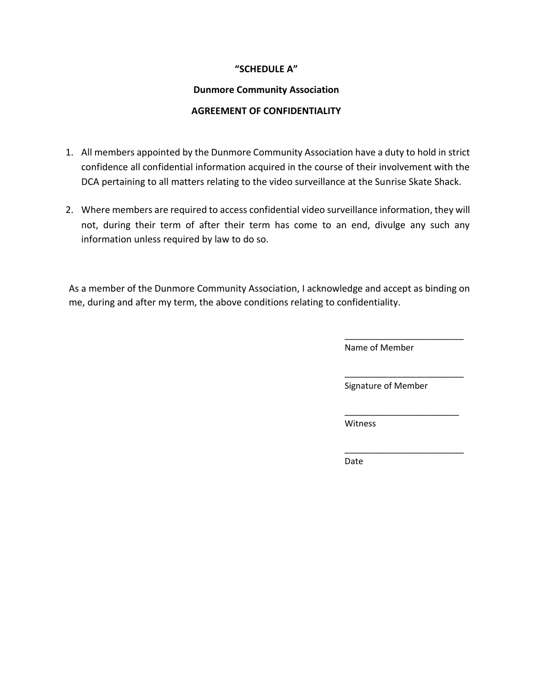# **"SCHEDULE A"**

# **Dunmore Community Association**

# **AGREEMENT OF CONFIDENTIALITY**

- 1. All members appointed by the Dunmore Community Association have a duty to hold in strict confidence all confidential information acquired in the course of their involvement with the DCA pertaining to all matters relating to the video surveillance at the Sunrise Skate Shack.
- 2. Where members are required to access confidential video surveillance information, they will not, during their term of after their term has come to an end, divulge any such any information unless required by law to do so.

As a member of the Dunmore Community Association, I acknowledge and accept as binding on me, during and after my term, the above conditions relating to confidentiality.

Name of Member

\_\_\_\_\_\_\_\_\_\_\_\_\_\_\_\_\_\_\_\_\_\_\_\_\_

\_\_\_\_\_\_\_\_\_\_\_\_\_\_\_\_\_\_\_\_\_\_\_\_\_

\_\_\_\_\_\_\_\_\_\_\_\_\_\_\_\_\_\_\_\_\_\_\_\_

\_\_\_\_\_\_\_\_\_\_\_\_\_\_\_\_\_\_\_\_\_\_\_\_\_

Signature of Member

**Witness** 

Date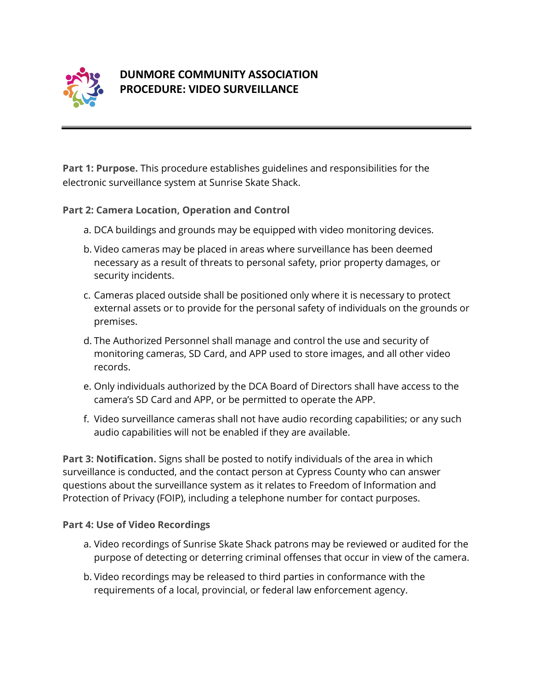

# **DUNMORE COMMUNITY ASSOCIATION PROCEDURE: VIDEO SURVEILLANCE**

**Part 1: Purpose.** This procedure establishes guidelines and responsibilities for the electronic surveillance system at Sunrise Skate Shack.

# **Part 2: Camera Location, Operation and Control**

- a. DCA buildings and grounds may be equipped with video monitoring devices.
- b. Video cameras may be placed in areas where surveillance has been deemed necessary as a result of threats to personal safety, prior property damages, or security incidents.
- c. Cameras placed outside shall be positioned only where it is necessary to protect external assets or to provide for the personal safety of individuals on the grounds or premises.
- d. The Authorized Personnel shall manage and control the use and security of monitoring cameras, SD Card, and APP used to store images, and all other video records.
- e. Only individuals authorized by the DCA Board of Directors shall have access to the camera's SD Card and APP, or be permitted to operate the APP.
- f. Video surveillance cameras shall not have audio recording capabilities; or any such audio capabilities will not be enabled if they are available.

**Part 3: Notification.** Signs shall be posted to notify individuals of the area in which surveillance is conducted, and the contact person at Cypress County who can answer questions about the surveillance system as it relates to Freedom of Information and Protection of Privacy (FOIP), including a telephone number for contact purposes.

# **Part 4: Use of Video Recordings**

- a. Video recordings of Sunrise Skate Shack patrons may be reviewed or audited for the purpose of detecting or deterring criminal offenses that occur in view of the camera.
- b. Video recordings may be released to third parties in conformance with the requirements of a local, provincial, or federal law enforcement agency.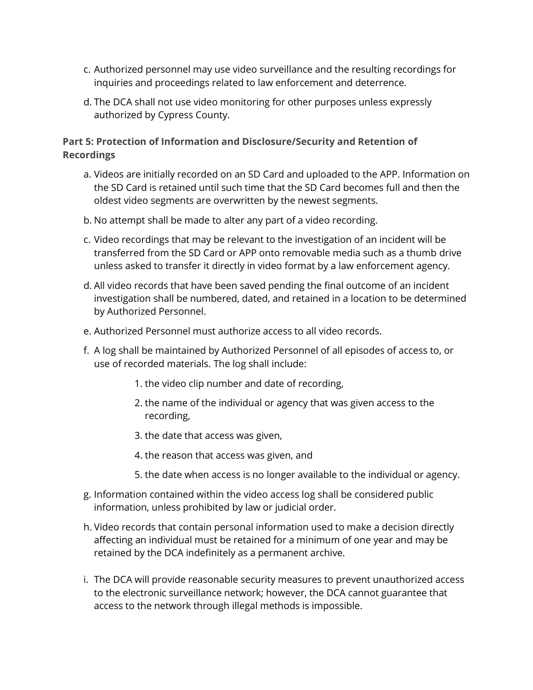- c. Authorized personnel may use video surveillance and the resulting recordings for inquiries and proceedings related to law enforcement and deterrence.
- d. The DCA shall not use video monitoring for other purposes unless expressly authorized by Cypress County.

# **Part 5: Protection of Information and Disclosure/Security and Retention of Recordings**

- a. Videos are initially recorded on an SD Card and uploaded to the APP. Information on the SD Card is retained until such time that the SD Card becomes full and then the oldest video segments are overwritten by the newest segments.
- b. No attempt shall be made to alter any part of a video recording.
- c. Video recordings that may be relevant to the investigation of an incident will be transferred from the SD Card or APP onto removable media such as a thumb drive unless asked to transfer it directly in video format by a law enforcement agency.
- d. All video records that have been saved pending the final outcome of an incident investigation shall be numbered, dated, and retained in a location to be determined by Authorized Personnel.
- e. Authorized Personnel must authorize access to all video records.
- f. A log shall be maintained by Authorized Personnel of all episodes of access to, or use of recorded materials. The log shall include:
	- 1. the video clip number and date of recording,
	- 2. the name of the individual or agency that was given access to the recording,
	- 3. the date that access was given,
	- 4. the reason that access was given, and
	- 5. the date when access is no longer available to the individual or agency.
- g. Information contained within the video access log shall be considered public information, unless prohibited by law or judicial order.
- h. Video records that contain personal information used to make a decision directly affecting an individual must be retained for a minimum of one year and may be retained by the DCA indefinitely as a permanent archive.
- i. The DCA will provide reasonable security measures to prevent unauthorized access to the electronic surveillance network; however, the DCA cannot guarantee that access to the network through illegal methods is impossible.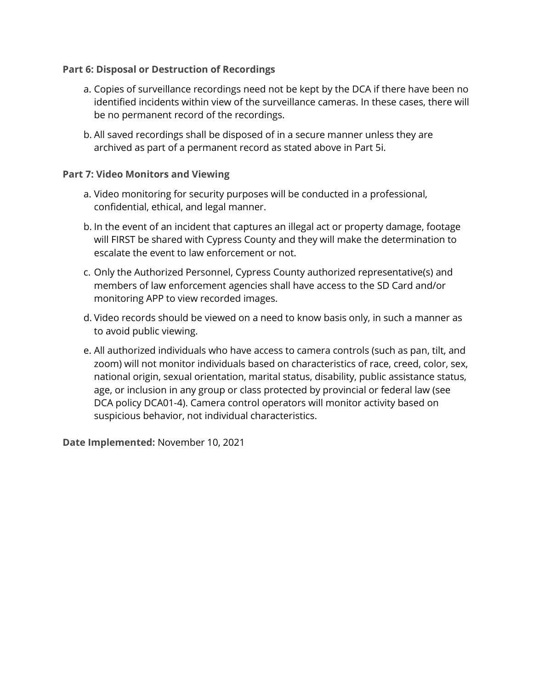# **Part 6: Disposal or Destruction of Recordings**

- a. Copies of surveillance recordings need not be kept by the DCA if there have been no identified incidents within view of the surveillance cameras. In these cases, there will be no permanent record of the recordings.
- b. All saved recordings shall be disposed of in a secure manner unless they are archived as part of a permanent record as stated above in Part 5i.

# **Part 7: Video Monitors and Viewing**

- a. Video monitoring for security purposes will be conducted in a professional, confidential, ethical, and legal manner.
- b. In the event of an incident that captures an illegal act or property damage, footage will FIRST be shared with Cypress County and they will make the determination to escalate the event to law enforcement or not.
- c. Only the Authorized Personnel, Cypress County authorized representative(s) and members of law enforcement agencies shall have access to the SD Card and/or monitoring APP to view recorded images.
- d. Video records should be viewed on a need to know basis only, in such a manner as to avoid public viewing.
- e. All authorized individuals who have access to camera controls (such as pan, tilt, and zoom) will not monitor individuals based on characteristics of race, creed, color, sex, national origin, sexual orientation, marital status, disability, public assistance status, age, or inclusion in any group or class protected by provincial or federal law (see DCA policy DCA01-4). Camera control operators will monitor activity based on suspicious behavior, not individual characteristics.

**Date Implemented:** November 10, 2021